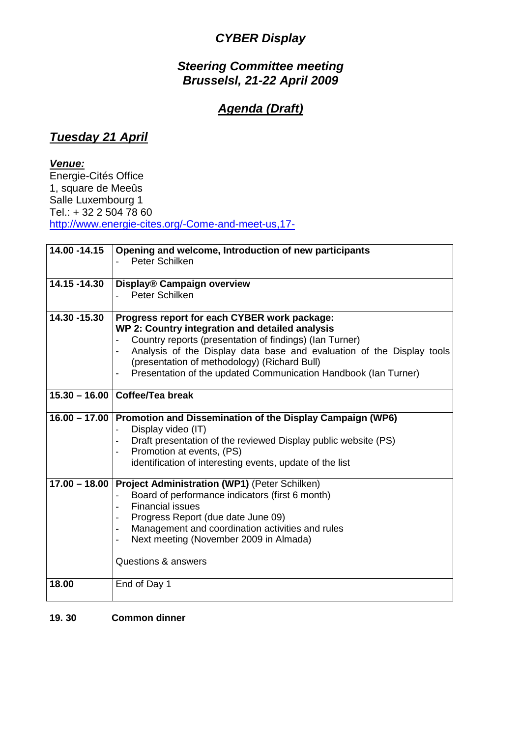## **CYBER Display**

### **Steering Committee meeting Brusselsl, 21-22 April 2009**

#### **Agenda (Draft)**

#### **Tuesday 21 April**

#### **Venue:**

Energie-Cités Office 1, square de Meeûs Salle Luxembourg 1 Tel.: + 32 2 504 78 60 http://www.energie-cites.org/-Come-and-meet-us,17-

| 14.00 - 14.15   | Opening and welcome, Introduction of new participants<br>Peter Schilken                                                                                                                                                                                                                                                                                |
|-----------------|--------------------------------------------------------------------------------------------------------------------------------------------------------------------------------------------------------------------------------------------------------------------------------------------------------------------------------------------------------|
| 14.15 -14.30    | <b>Display® Campaign overview</b><br>Peter Schilken                                                                                                                                                                                                                                                                                                    |
| 14.30 - 15.30   | Progress report for each CYBER work package:<br>WP 2: Country integration and detailed analysis<br>Country reports (presentation of findings) (lan Turner)<br>Analysis of the Display data base and evaluation of the Display tools<br>(presentation of methodology) (Richard Bull)<br>Presentation of the updated Communication Handbook (Ian Turner) |
|                 | 15.30 - 16.00 Coffee/Tea break                                                                                                                                                                                                                                                                                                                         |
|                 | 16.00 - 17.00 Promotion and Dissemination of the Display Campaign (WP6)<br>Display video (IT)<br>Draft presentation of the reviewed Display public website (PS)<br>Promotion at events, (PS)<br>identification of interesting events, update of the list                                                                                               |
| $17.00 - 18.00$ | Project Administration (WP1) (Peter Schilken)<br>Board of performance indicators (first 6 month)<br><b>Financial issues</b><br>Progress Report (due date June 09)<br>Management and coordination activities and rules<br>Next meeting (November 2009 in Almada)<br>Questions & answers                                                                 |
| 18.00           | End of Day 1                                                                                                                                                                                                                                                                                                                                           |

#### **19. 30 Common dinner**